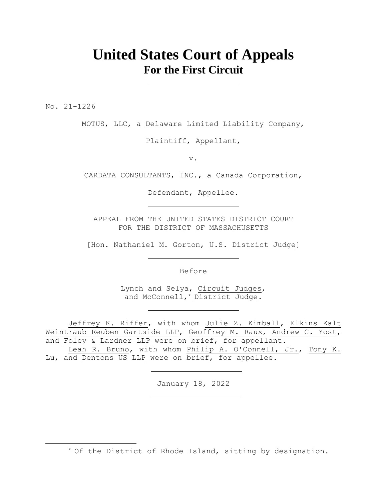# **United States Court of Appeals For the First Circuit**

No. 21-1226

MOTUS, LLC, a Delaware Limited Liability Company,

Plaintiff, Appellant,

v.

CARDATA CONSULTANTS, INC., a Canada Corporation,

Defendant, Appellee.

APPEAL FROM THE UNITED STATES DISTRICT COURT FOR THE DISTRICT OF MASSACHUSETTS

[Hon. Nathaniel M. Gorton, U.S. District Judge]

Before

Lynch and Selya, Circuit Judges, and McConnell, \* District Judge.

Jeffrey K. Riffer, with whom Julie Z. Kimball, Elkins Kalt Weintraub Reuben Gartside LLP, Geoffrey M. Raux, Andrew C. Yost, and Foley & Lardner LLP were on brief, for appellant.

Leah R. Bruno, with whom Philip A. O'Connell, Jr., Tony K. Lu, and Dentons US LLP were on brief, for appellee.

January 18, 2022

\* Of the District of Rhode Island, sitting by designation.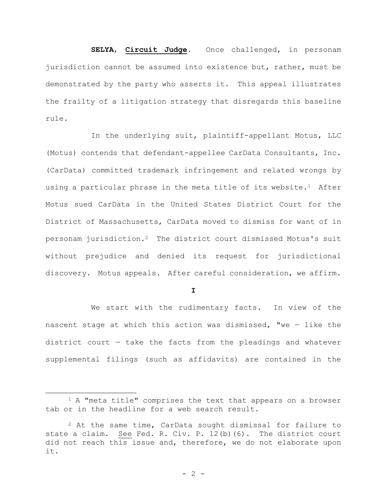**SELYA**, **Circuit Judge**. Once challenged, in personam jurisdiction cannot be assumed into existence but, rather, must be demonstrated by the party who asserts it. This appeal illustrates the frailty of a litigation strategy that disregards this baseline rule.

In the underlying suit, plaintiff-appellant Motus, LLC (Motus) contends that defendant-appellee CarData Consultants, Inc. (CarData) committed trademark infringement and related wrongs by using a particular phrase in the meta title of its website.<sup>1</sup> After Motus sued CarData in the United States District Court for the District of Massachusetts, CarData moved to dismiss for want of in personam jurisdiction.2 The district court dismissed Motus's suit without prejudice and denied its request for jurisdictional discovery. Motus appeals. After careful consideration, we affirm.

**I**

We start with the rudimentary facts. In view of the nascent stage at which this action was dismissed, "we  $-$  like the district court — take the facts from the pleadings and whatever supplemental filings (such as affidavits) are contained in the

<sup>&</sup>lt;sup>1</sup> A "meta title" comprises the text that appears on a browser tab or in the headline for a web search result.

 $2$  At the same time, CarData sought dismissal for failure to state a claim. See Fed. R. Civ. P. 12(b)(6). The district court did not reach this issue and, therefore, we do not elaborate upon it.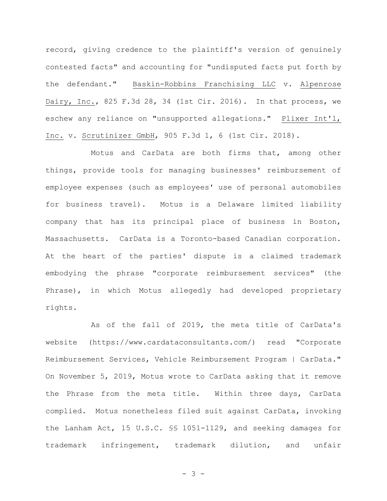record, giving credence to the plaintiff's version of genuinely contested facts" and accounting for "undisputed facts put forth by the defendant." Baskin-Robbins Franchising LLC v. Alpenrose Dairy, Inc., 825 F.3d 28, 34 (1st Cir. 2016). In that process, we eschew any reliance on "unsupported allegations." Plixer Int'l, Inc. v. Scrutinizer GmbH, 905 F.3d 1, 6 (1st Cir. 2018).

Motus and CarData are both firms that, among other things, provide tools for managing businesses' reimbursement of employee expenses (such as employees' use of personal automobiles for business travel). Motus is a Delaware limited liability company that has its principal place of business in Boston, Massachusetts. CarData is a Toronto-based Canadian corporation. At the heart of the parties' dispute is a claimed trademark embodying the phrase "corporate reimbursement services" (the Phrase), in which Motus allegedly had developed proprietary rights.

As of the fall of 2019, the meta title of CarData's website [\(https://www.cardataconsultants.com/\)](https://www.cardataconsultants.com/) read "Corporate Reimbursement Services, Vehicle Reimbursement Program | CarData." On November 5, 2019, Motus wrote to CarData asking that it remove the Phrase from the meta title. Within three days, CarData complied. Motus nonetheless filed suit against CarData, invoking the Lanham Act, 15 U.S.C. §§ 1051-1129, and seeking damages for trademark infringement, trademark dilution, and unfair

- 3 -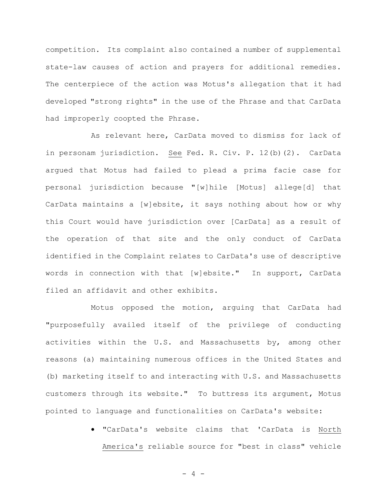competition. Its complaint also contained a number of supplemental state-law causes of action and prayers for additional remedies. The centerpiece of the action was Motus's allegation that it had developed "strong rights" in the use of the Phrase and that CarData had improperly coopted the Phrase.

As relevant here, CarData moved to dismiss for lack of in personam jurisdiction. See Fed. R. Civ. P. 12(b)(2). CarData argued that Motus had failed to plead a prima facie case for personal jurisdiction because "[w]hile [Motus] allege[d] that CarData maintains a [w]ebsite, it says nothing about how or why this Court would have jurisdiction over [CarData] as a result of the operation of that site and the only conduct of CarData identified in the Complaint relates to CarData's use of descriptive words in connection with that [w]ebsite." In support, CarData filed an affidavit and other exhibits.

Motus opposed the motion, arguing that CarData had "purposefully availed itself of the privilege of conducting activities within the U.S. and Massachusetts by, among other reasons (a) maintaining numerous offices in the United States and (b) marketing itself to and interacting with U.S. and Massachusetts customers through its website." To buttress its argument, Motus pointed to language and functionalities on CarData's website:

> • "CarData's website claims that 'CarData is North America's reliable source for "best in class" vehicle

> > $- 4 -$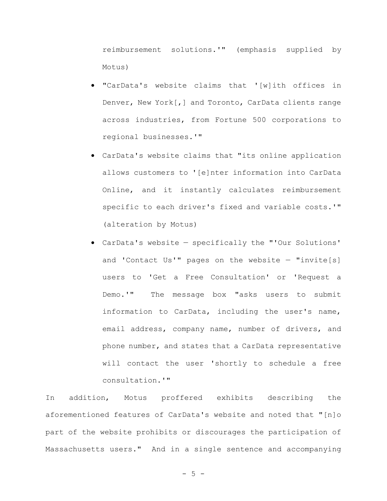reimbursement solutions.'" (emphasis supplied by Motus)

- "CarData's website claims that '[w]ith offices in Denver, New York[,] and Toronto, CarData clients range across industries, from Fortune 500 corporations to regional businesses.'"
- CarData's website claims that "its online application allows customers to '[e]nter information into CarData Online, and it instantly calculates reimbursement specific to each driver's fixed and variable costs.'" (alteration by Motus)
- CarData's website specifically the "'Our Solutions' and 'Contact Us'" pages on the website  $-$  "invite[s] users to 'Get a Free Consultation' or 'Request a Demo.'" The message box "asks users to submit information to CarData, including the user's name, email address, company name, number of drivers, and phone number, and states that a CarData representative will contact the user 'shortly to schedule a free consultation.'"

In addition, Motus proffered exhibits describing the aforementioned features of CarData's website and noted that "[n]o part of the website prohibits or discourages the participation of Massachusetts users." And in a single sentence and accompanying

 $- 5 -$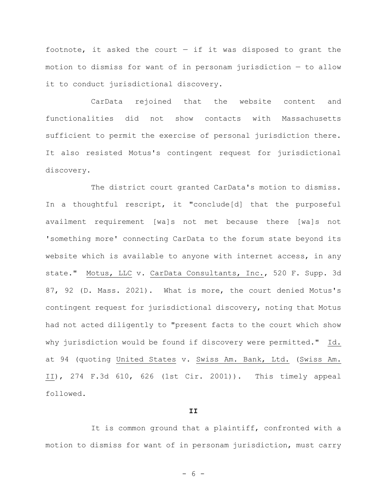footnote, it asked the court  $-$  if it was disposed to grant the motion to dismiss for want of in personam jurisdiction — to allow it to conduct jurisdictional discovery.

CarData rejoined that the website content and functionalities did not show contacts with Massachusetts sufficient to permit the exercise of personal jurisdiction there. It also resisted Motus's contingent request for jurisdictional discovery.

The district court granted CarData's motion to dismiss. In a thoughtful rescript, it "conclude[d] that the purposeful availment requirement [wa]s not met because there [wa]s not 'something more' connecting CarData to the forum state beyond its website which is available to anyone with internet access, in any state." Motus, LLC v. CarData Consultants, Inc., 520 F. Supp. 3d 87, 92 (D. Mass. 2021). What is more, the court denied Motus's contingent request for jurisdictional discovery, noting that Motus had not acted diligently to "present facts to the court which show why jurisdiction would be found if discovery were permitted." Id. at 94 (quoting United States v. Swiss Am. Bank, Ltd. (Swiss Am. II), 274 F.3d 610, 626 (1st Cir. 2001)). This timely appeal followed.

## **II**

It is common ground that a plaintiff, confronted with a motion to dismiss for want of in personam jurisdiction, must carry

- 6 -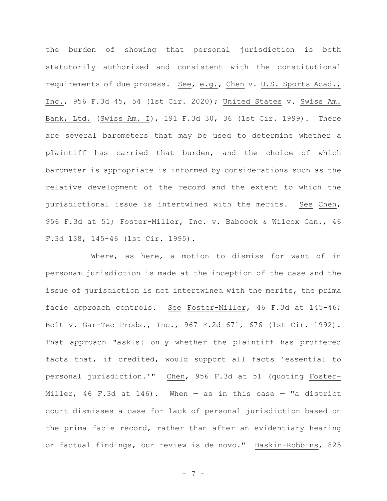the burden of showing that personal jurisdiction is both statutorily authorized and consistent with the constitutional requirements of due process. See, e.g., Chen v. U.S. Sports Acad., Inc., 956 F.3d 45, 54 (1st Cir. 2020); United States v. Swiss Am. Bank, Ltd. (Swiss Am. I), 191 F.3d 30, 36 (1st Cir. 1999). There are several barometers that may be used to determine whether a plaintiff has carried that burden, and the choice of which barometer is appropriate is informed by considerations such as the relative development of the record and the extent to which the jurisdictional issue is intertwined with the merits. See Chen, 956 F.3d at 51; Foster-Miller, Inc. v. Babcock & Wilcox Can., 46 F.3d 138, 145-46 (1st Cir. 1995).

Where, as here, a motion to dismiss for want of in personam jurisdiction is made at the inception of the case and the issue of jurisdiction is not intertwined with the merits, the prima facie approach controls. See Foster-Miller, 46 F.3d at 145-46; Boit v. Gar-Tec Prods., Inc., 967 F.2d 671, 676 (1st Cir. 1992). That approach "ask[s] only whether the plaintiff has proffered facts that, if credited, would support all facts 'essential to personal jurisdiction.'" Chen, 956 F.3d at 51 (quoting Foster-Miller, 46 F.3d at 146). When  $-$  as in this case  $-$  "a district court dismisses a case for lack of personal jurisdiction based on the prima facie record, rather than after an evidentiary hearing or factual findings, our review is de novo." Baskin-Robbins, 825

- 7 -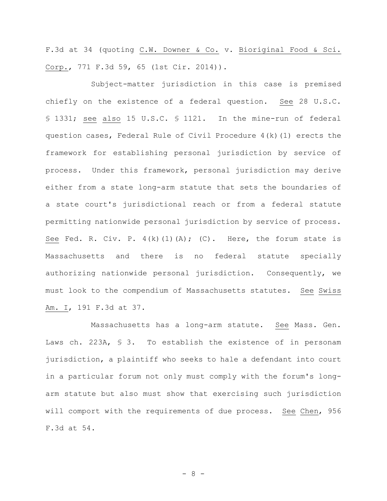F.3d at 34 (quoting C.W. Downer & Co. v. Bioriginal Food & Sci. Corp., 771 F.3d 59, 65 (1st Cir. 2014)).

Subject-matter jurisdiction in this case is premised chiefly on the existence of a federal question. See 28 U.S.C. § 1331; see also 15 U.S.C. § 1121. In the mine-run of federal question cases, Federal Rule of Civil Procedure 4(k)(1) erects the framework for establishing personal jurisdiction by service of process. Under this framework, personal jurisdiction may derive either from a state long-arm statute that sets the boundaries of a state court's jurisdictional reach or from a federal statute permitting nationwide personal jurisdiction by service of process. See Fed. R. Civ. P.  $4(k)$  (1)(A); (C). Here, the forum state is Massachusetts and there is no federal statute specially authorizing nationwide personal jurisdiction. Consequently, we must look to the compendium of Massachusetts statutes. See Swiss Am. I, 191 F.3d at 37.

Massachusetts has a long-arm statute. See Mass. Gen. Laws ch. 223A, § 3. To establish the existence of in personam jurisdiction, a plaintiff who seeks to hale a defendant into court in a particular forum not only must comply with the forum's longarm statute but also must show that exercising such jurisdiction will comport with the requirements of due process. See Chen, 956 F.3d at 54.

- 8 -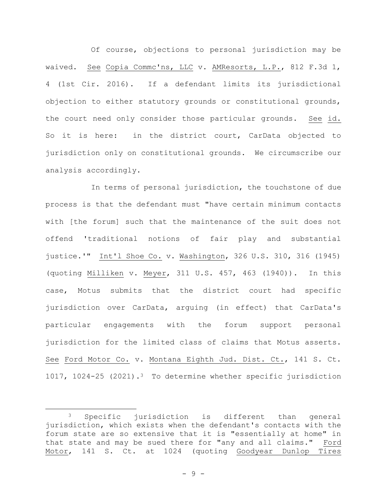Of course, objections to personal jurisdiction may be waived. See Copia Commc'ns, LLC v. AMResorts, L.P., 812 F.3d 1, 4 (1st Cir. 2016). If a defendant limits its jurisdictional objection to either statutory grounds or constitutional grounds, the court need only consider those particular grounds. See id. So it is here: in the district court, CarData objected to jurisdiction only on constitutional grounds. We circumscribe our analysis accordingly.

In terms of personal jurisdiction, the touchstone of due process is that the defendant must "have certain minimum contacts with [the forum] such that the maintenance of the suit does not offend 'traditional notions of fair play and substantial justice.'" Int'l Shoe Co. v. Washington, 326 U.S. 310, 316 (1945) (quoting Milliken v. Meyer, 311 U.S. 457, 463 (1940)). In this case, Motus submits that the district court had specific jurisdiction over CarData, arguing (in effect) that CarData's particular engagements with the forum support personal jurisdiction for the limited class of claims that Motus asserts. See Ford Motor Co. v. Montana Eighth Jud. Dist. Ct., 141 S. Ct. 1017, 1024-25 (2021).3 To determine whether specific jurisdiction

<sup>3</sup> Specific jurisdiction is different than general jurisdiction, which exists when the defendant's contacts with the forum state are so extensive that it is "essentially at home" in that state and may be sued there for "any and all claims." Ford Motor, 141 S. Ct. at 1024 (quoting Goodyear Dunlop Tires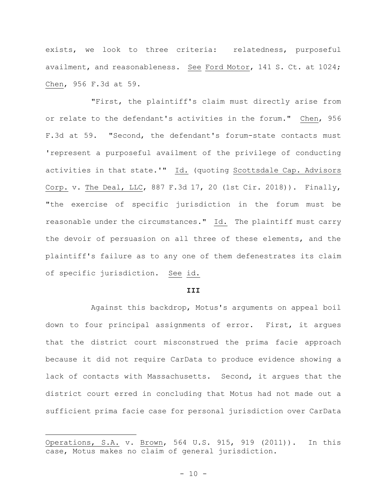exists, we look to three criteria: relatedness, purposeful availment, and reasonableness. See Ford Motor, 141 S. Ct. at 1024; Chen, 956 F.3d at 59.

"First, the plaintiff's claim must directly arise from or relate to the defendant's activities in the forum." Chen, 956 F.3d at 59. "Second, the defendant's forum-state contacts must 'represent a purposeful availment of the privilege of conducting activities in that state.'" Id. (quoting Scottsdale Cap. Advisors Corp. v. The Deal, LLC, 887 F.3d 17, 20 (1st Cir. 2018)). Finally, "the exercise of specific jurisdiction in the forum must be reasonable under the circumstances." Id. The plaintiff must carry the devoir of persuasion on all three of these elements, and the plaintiff's failure as to any one of them defenestrates its claim of specific jurisdiction. See id.

#### **III**

Against this backdrop, Motus's arguments on appeal boil down to four principal assignments of error. First, it argues that the district court misconstrued the prima facie approach because it did not require CarData to produce evidence showing a lack of contacts with Massachusetts. Second, it argues that the district court erred in concluding that Motus had not made out a sufficient prima facie case for personal jurisdiction over CarData

Operations, S.A. v. Brown, 564 U.S. 915, 919 (2011)). In this case, Motus makes no claim of general jurisdiction.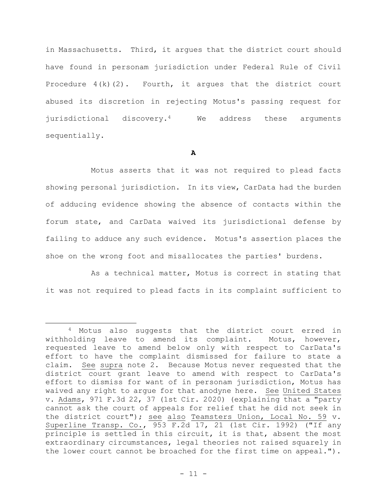in Massachusetts. Third, it argues that the district court should have found in personam jurisdiction under Federal Rule of Civil Procedure  $4(k)(2)$ . Fourth, it argues that the district court abused its discretion in rejecting Motus's passing request for jurisdictional discovery.4 We address these arguments sequentially.

**A**

Motus asserts that it was not required to plead facts showing personal jurisdiction. In its view, CarData had the burden of adducing evidence showing the absence of contacts within the forum state, and CarData waived its jurisdictional defense by failing to adduce any such evidence. Motus's assertion places the shoe on the wrong foot and misallocates the parties' burdens.

As a technical matter, Motus is correct in stating that it was not required to plead facts in its complaint sufficient to

<sup>4</sup> Motus also suggests that the district court erred in withholding leave to amend its complaint. Motus, however, requested leave to amend below only with respect to CarData's effort to have the complaint dismissed for failure to state a claim. See supra note 2. Because Motus never requested that the district court grant leave to amend with respect to CarData's effort to dismiss for want of in personam jurisdiction, Motus has waived any right to argue for that anodyne here. See United States v. Adams, 971 F.3d 22, 37 (1st Cir. 2020) (explaining that a "party cannot ask the court of appeals for relief that he did not seek in the district court"); see also Teamsters Union, Local No. 59 v. Superline Transp. Co., 953 F.2d 17, 21 (1st Cir. 1992) ("If any principle is settled in this circuit, it is that, absent the most extraordinary circumstances, legal theories not raised squarely in the lower court cannot be broached for the first time on appeal.").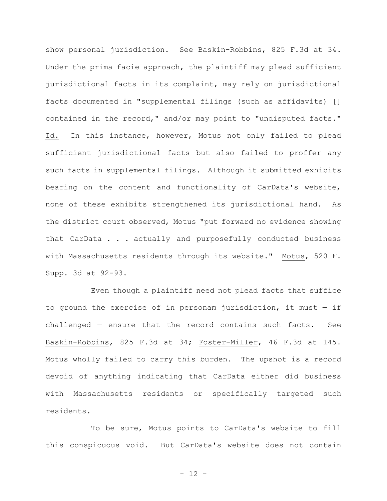show personal jurisdiction. See Baskin-Robbins, 825 F.3d at 34. Under the prima facie approach, the plaintiff may plead sufficient jurisdictional facts in its complaint, may rely on jurisdictional facts documented in "supplemental filings (such as affidavits) [] contained in the record," and/or may point to "undisputed facts." Id. In this instance, however, Motus not only failed to plead sufficient jurisdictional facts but also failed to proffer any such facts in supplemental filings. Although it submitted exhibits bearing on the content and functionality of CarData's website, none of these exhibits strengthened its jurisdictional hand. As the district court observed, Motus "put forward no evidence showing that CarData . . . actually and purposefully conducted business with Massachusetts residents through its website." Motus, 520 F. Supp. 3d at 92-93.

Even though a plaintiff need not plead facts that suffice to ground the exercise of in personam jurisdiction, it must — if challenged — ensure that the record contains such facts. See Baskin-Robbins, 825 F.3d at 34; Foster-Miller, 46 F.3d at 145. Motus wholly failed to carry this burden. The upshot is a record devoid of anything indicating that CarData either did business with Massachusetts residents or specifically targeted such residents.

To be sure, Motus points to CarData's website to fill this conspicuous void. But CarData's website does not contain

- 12 -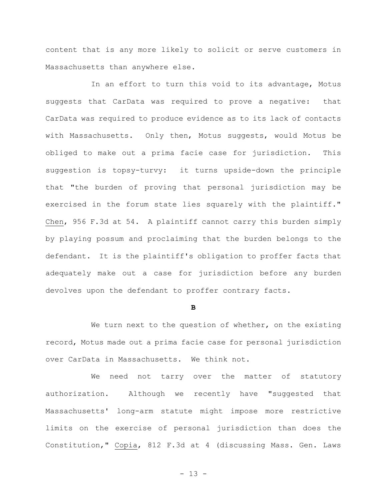content that is any more likely to solicit or serve customers in Massachusetts than anywhere else.

In an effort to turn this void to its advantage, Motus suggests that CarData was required to prove a negative: that CarData was required to produce evidence as to its lack of contacts with Massachusetts. Only then, Motus suggests, would Motus be obliged to make out a prima facie case for jurisdiction. This suggestion is topsy-turvy: it turns upside-down the principle that "the burden of proving that personal jurisdiction may be exercised in the forum state lies squarely with the plaintiff." Chen, 956 F.3d at 54. A plaintiff cannot carry this burden simply by playing possum and proclaiming that the burden belongs to the defendant. It is the plaintiff's obligation to proffer facts that adequately make out a case for jurisdiction before any burden devolves upon the defendant to proffer contrary facts.

#### **B**

We turn next to the question of whether, on the existing record, Motus made out a prima facie case for personal jurisdiction over CarData in Massachusetts. We think not.

We need not tarry over the matter of statutory authorization. Although we recently have "suggested that Massachusetts' long-arm statute might impose more restrictive limits on the exercise of personal jurisdiction than does the Constitution," Copia, 812 F.3d at 4 (discussing Mass. Gen. Laws

- 13 -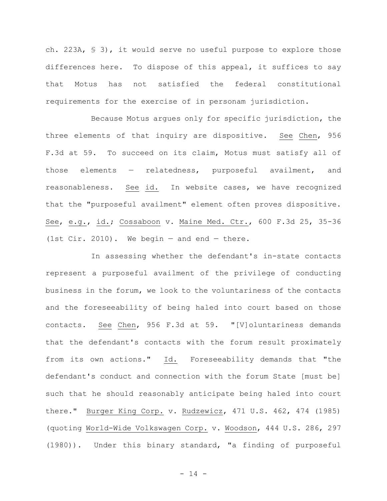ch. 223A, § 3), it would serve no useful purpose to explore those differences here. To dispose of this appeal, it suffices to say that Motus has not satisfied the federal constitutional requirements for the exercise of in personam jurisdiction.

Because Motus argues only for specific jurisdiction, the three elements of that inquiry are dispositive. See Chen, 956 F.3d at 59. To succeed on its claim, Motus must satisfy all of those elements — relatedness, purposeful availment, and reasonableness. See id. In website cases, we have recognized that the "purposeful availment" element often proves dispositive. See, e.g., id.; Cossaboon v. Maine Med. Ctr., 600 F.3d 25, 35-36 (1st Cir. 2010). We begin  $-$  and end  $-$  there.

In assessing whether the defendant's in-state contacts represent a purposeful availment of the privilege of conducting business in the forum, we look to the voluntariness of the contacts and the foreseeability of being haled into court based on those contacts. See Chen, 956 F.3d at 59. "[V]oluntariness demands that the defendant's contacts with the forum result proximately from its own actions." Id. Foreseeability demands that "the defendant's conduct and connection with the forum State [must be] such that he should reasonably anticipate being haled into court there." Burger King Corp. v. Rudzewicz, 471 U.S. 462, 474 (1985) (quoting World-Wide Volkswagen Corp. v. Woodson, 444 U.S. 286, 297 (1980)). Under this binary standard, "a finding of purposeful

 $- 14 -$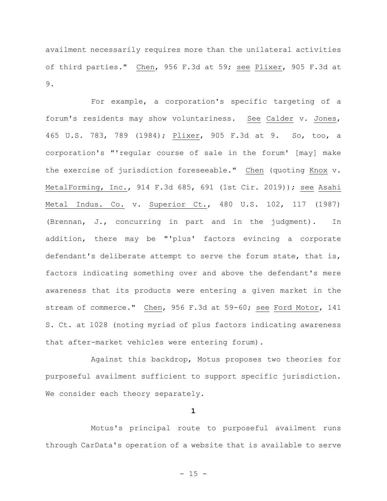availment necessarily requires more than the unilateral activities of third parties." Chen, 956 F.3d at 59; see Plixer, 905 F.3d at 9.

For example, a corporation's specific targeting of a forum's residents may show voluntariness. See Calder v. Jones, 465 U.S. 783, 789 (1984); Plixer, 905 F.3d at 9. So, too, a corporation's "'regular course of sale in the forum' [may] make the exercise of jurisdiction foreseeable." Chen (quoting Knox v. MetalForming, Inc., 914 F.3d 685, 691 (1st Cir. 2019)); see Asahi Metal Indus. Co. v. Superior Ct., 480 U.S. 102, 117 (1987) (Brennan, J., concurring in part and in the judgment). In addition, there may be "'plus' factors evincing a corporate defendant's deliberate attempt to serve the forum state, that is, factors indicating something over and above the defendant's mere awareness that its products were entering a given market in the stream of commerce." Chen, 956 F.3d at 59-60; see Ford Motor, 141 S. Ct. at 1028 (noting myriad of plus factors indicating awareness that after-market vehicles were entering forum).

Against this backdrop, Motus proposes two theories for purposeful availment sufficient to support specific jurisdiction. We consider each theory separately.

**1**

Motus's principal route to purposeful availment runs through CarData's operation of a website that is available to serve

- 15 -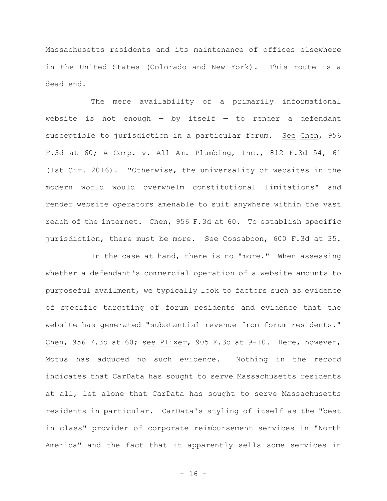Massachusetts residents and its maintenance of offices elsewhere in the United States (Colorado and New York). This route is a dead end.

The mere availability of a primarily informational website is not enough  $-$  by itself  $-$  to render a defendant susceptible to jurisdiction in a particular forum. See Chen, 956 F.3d at 60; A Corp. v. All Am. Plumbing, Inc., 812 F.3d 54, 61 (1st Cir. 2016). "Otherwise, the universality of websites in the modern world would overwhelm constitutional limitations" and render website operators amenable to suit anywhere within the vast reach of the internet. Chen, 956 F.3d at 60. To establish specific jurisdiction, there must be more. See Cossaboon, 600 F.3d at 35.

In the case at hand, there is no "more." When assessing whether a defendant's commercial operation of a website amounts to purposeful availment, we typically look to factors such as evidence of specific targeting of forum residents and evidence that the website has generated "substantial revenue from forum residents." Chen, 956 F.3d at 60; see Plixer, 905 F.3d at 9-10. Here, however, Motus has adduced no such evidence. Nothing in the record indicates that CarData has sought to serve Massachusetts residents at all, let alone that CarData has sought to serve Massachusetts residents in particular. CarData's styling of itself as the "best in class" provider of corporate reimbursement services in "North America" and the fact that it apparently sells some services in

 $- 16 -$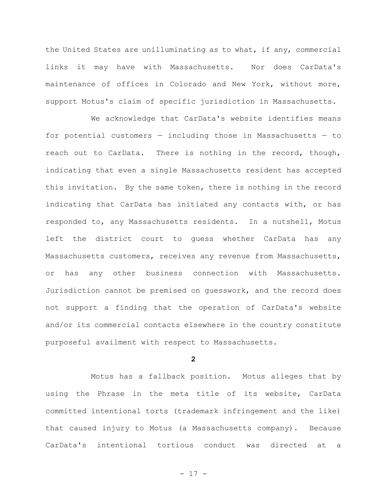the United States are unilluminating as to what, if any, commercial links it may have with Massachusetts. Nor does CarData's maintenance of offices in Colorado and New York, without more, support Motus's claim of specific jurisdiction in Massachusetts.

We acknowledge that CarData's website identifies means for potential customers — including those in Massachusetts — to reach out to CarData. There is nothing in the record, though, indicating that even a single Massachusetts resident has accepted this invitation. By the same token, there is nothing in the record indicating that CarData has initiated any contacts with, or has responded to, any Massachusetts residents. In a nutshell, Motus left the district court to guess whether CarData has any Massachusetts customers, receives any revenue from Massachusetts, or has any other business connection with Massachusetts. Jurisdiction cannot be premised on guesswork, and the record does not support a finding that the operation of CarData's website and/or its commercial contacts elsewhere in the country constitute purposeful availment with respect to Massachusetts.

## **2**

Motus has a fallback position. Motus alleges that by using the Phrase in the meta title of its website, CarData committed intentional torts (trademark infringement and the like) that caused injury to Motus (a Massachusetts company). Because CarData's intentional tortious conduct was directed at a

- 17 -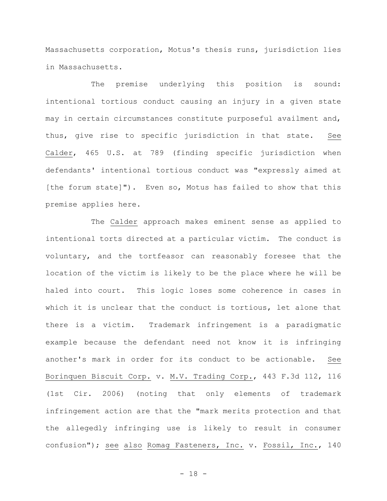Massachusetts corporation, Motus's thesis runs, jurisdiction lies in Massachusetts.

The premise underlying this position is sound: intentional tortious conduct causing an injury in a given state may in certain circumstances constitute purposeful availment and, thus, give rise to specific jurisdiction in that state. See Calder, 465 U.S. at 789 (finding specific jurisdiction when defendants' intentional tortious conduct was "expressly aimed at [the forum state]"). Even so, Motus has failed to show that this premise applies here.

The Calder approach makes eminent sense as applied to intentional torts directed at a particular victim. The conduct is voluntary, and the tortfeasor can reasonably foresee that the location of the victim is likely to be the place where he will be haled into court. This logic loses some coherence in cases in which it is unclear that the conduct is tortious, let alone that there is a victim. Trademark infringement is a paradigmatic example because the defendant need not know it is infringing another's mark in order for its conduct to be actionable. See Borinquen Biscuit Corp. v. M.V. Trading Corp., 443 F.3d 112, 116 (1st Cir. 2006) (noting that only elements of trademark infringement action are that the "mark merits protection and that the allegedly infringing use is likely to result in consumer confusion"); see also Romag Fasteners, Inc. v. Fossil, Inc., 140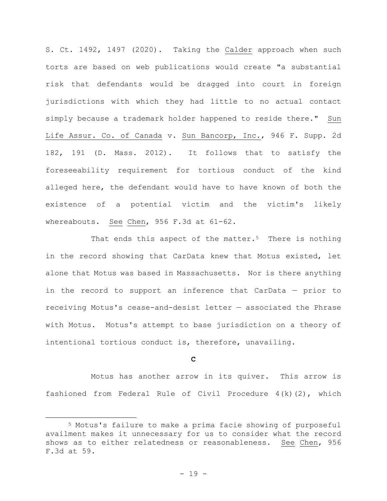S. Ct. 1492, 1497 (2020). Taking the Calder approach when such torts are based on web publications would create "a substantial risk that defendants would be dragged into court in foreign jurisdictions with which they had little to no actual contact simply because a trademark holder happened to reside there." Sun Life Assur. Co. of Canada v. Sun Bancorp, Inc., 946 F. Supp. 2d 182, 191 (D. Mass. 2012). It follows that to satisfy the foreseeability requirement for tortious conduct of the kind alleged here, the defendant would have to have known of both the existence of a potential victim and the victim's likely whereabouts. See Chen, 956 F.3d at 61-62.

That ends this aspect of the matter.<sup>5</sup> There is nothing in the record showing that CarData knew that Motus existed, let alone that Motus was based in Massachusetts. Nor is there anything in the record to support an inference that CarData — prior to receiving Motus's cease-and-desist letter — associated the Phrase with Motus. Motus's attempt to base jurisdiction on a theory of intentional tortious conduct is, therefore, unavailing.

### **C**

Motus has another arrow in its quiver. This arrow is fashioned from Federal Rule of Civil Procedure  $4(k)(2)$ , which

<sup>5</sup> Motus's failure to make a prima facie showing of purposeful availment makes it unnecessary for us to consider what the record shows as to either relatedness or reasonableness. See Chen, 956 F.3d at 59.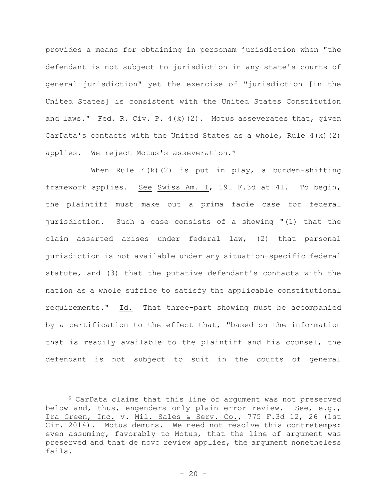provides a means for obtaining in personam jurisdiction when "the defendant is not subject to jurisdiction in any state's courts of general jurisdiction" yet the exercise of "jurisdiction [in the United States] is consistent with the United States Constitution and laws." Fed. R. Civ. P. 4(k)(2). Motus asseverates that, given CarData's contacts with the United States as a whole, Rule 4(k)(2) applies. We reject Motus's asseveration.<sup>6</sup>

When Rule  $4(k)(2)$  is put in play, a burden-shifting framework applies. See Swiss Am. I, 191 F.3d at 41. To begin, the plaintiff must make out a prima facie case for federal jurisdiction. Such a case consists of a showing "(1) that the claim asserted arises under federal law, (2) that personal jurisdiction is not available under any situation-specific federal statute, and (3) that the putative defendant's contacts with the nation as a whole suffice to satisfy the applicable constitutional requirements." Id. That three-part showing must be accompanied by a certification to the effect that, "based on the information that is readily available to the plaintiff and his counsel, the defendant is not subject to suit in the courts of general

<sup>6</sup> CarData claims that this line of argument was not preserved below and, thus, engenders only plain error review. See, e.g., Ira Green, Inc. v. Mil. Sales & Serv. Co., 775 F.3d 12, 26 (1st Cir. 2014). Motus demurs. We need not resolve this contretemps: even assuming, favorably to Motus, that the line of argument was preserved and that de novo review applies, the argument nonetheless fails.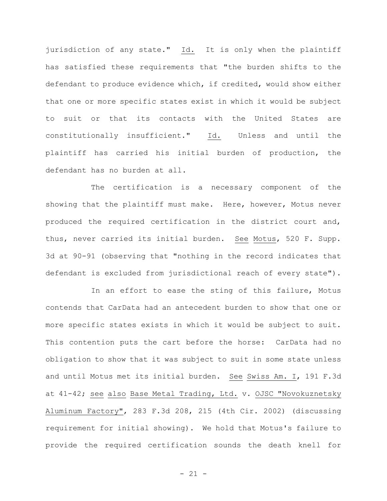jurisdiction of any state." Id. It is only when the plaintiff has satisfied these requirements that "the burden shifts to the defendant to produce evidence which, if credited, would show either that one or more specific states exist in which it would be subject to suit or that its contacts with the United States are constitutionally insufficient." Id. Unless and until the plaintiff has carried his initial burden of production, the defendant has no burden at all.

The certification is a necessary component of the showing that the plaintiff must make. Here, however, Motus never produced the required certification in the district court and, thus, never carried its initial burden. See Motus, 520 F. Supp. 3d at 90-91 (observing that "nothing in the record indicates that defendant is excluded from jurisdictional reach of every state").

In an effort to ease the sting of this failure, Motus contends that CarData had an antecedent burden to show that one or more specific states exists in which it would be subject to suit. This contention puts the cart before the horse: CarData had no obligation to show that it was subject to suit in some state unless and until Motus met its initial burden. See Swiss Am. I, 191 F.3d at 41-42; see also Base Metal Trading, Ltd. v. OJSC "Novokuznetsky Aluminum Factory", 283 F.3d 208, 215 (4th Cir. 2002) (discussing requirement for initial showing). We hold that Motus's failure to provide the required certification sounds the death knell for

 $- 21 -$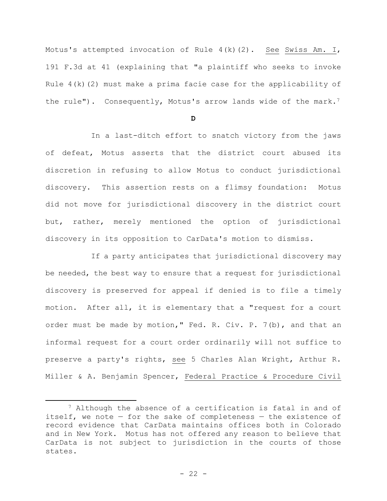Motus's attempted invocation of Rule 4(k)(2). See Swiss Am. I, 191 F.3d at 41 (explaining that "a plaintiff who seeks to invoke Rule 4(k)(2) must make a prima facie case for the applicability of the rule"). Consequently, Motus's arrow lands wide of the mark.<sup>7</sup>

**D**

In a last-ditch effort to snatch victory from the jaws of defeat, Motus asserts that the district court abused its discretion in refusing to allow Motus to conduct jurisdictional discovery. This assertion rests on a flimsy foundation: Motus did not move for jurisdictional discovery in the district court but, rather, merely mentioned the option of jurisdictional discovery in its opposition to CarData's motion to dismiss.

If a party anticipates that jurisdictional discovery may be needed, the best way to ensure that a request for jurisdictional discovery is preserved for appeal if denied is to file a timely motion. After all, it is elementary that a "request for a court order must be made by motion," Fed. R. Civ. P. 7(b), and that an informal request for a court order ordinarily will not suffice to preserve a party's rights, see 5 Charles Alan Wright, Arthur R. Miller & A. Benjamin Spencer, Federal Practice & Procedure Civil

<sup>7</sup> Although the absence of a certification is fatal in and of itself, we note  $-$  for the sake of completeness  $-$  the existence of record evidence that CarData maintains offices both in Colorado and in New York. Motus has not offered any reason to believe that CarData is not subject to jurisdiction in the courts of those states.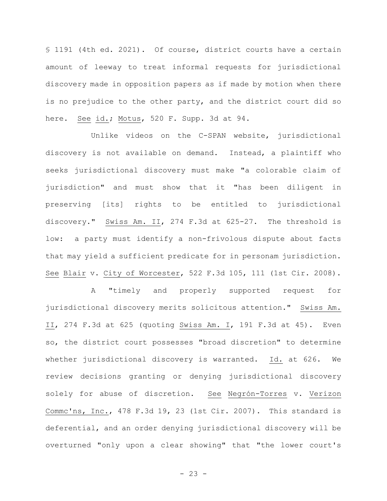§ 1191 (4th ed. 2021). Of course, district courts have a certain amount of leeway to treat informal requests for jurisdictional discovery made in opposition papers as if made by motion when there is no prejudice to the other party, and the district court did so here. See id.; Motus, 520 F. Supp. 3d at 94.

Unlike videos on the C-SPAN website, jurisdictional discovery is not available on demand. Instead, a plaintiff who seeks jurisdictional discovery must make "a colorable claim of jurisdiction" and must show that it "has been diligent in preserving [its] rights to be entitled to jurisdictional discovery." Swiss Am. II, 274 F.3d at 625-27. The threshold is low: a party must identify a non-frivolous dispute about facts that may yield a sufficient predicate for in personam jurisdiction. See Blair v. City of Worcester, 522 F.3d 105, 111 (1st Cir. 2008).

A "timely and properly supported request for jurisdictional discovery merits solicitous attention." Swiss Am. II, 274 F.3d at 625 (quoting Swiss Am. I, 191 F.3d at 45). Even so, the district court possesses "broad discretion" to determine whether jurisdictional discovery is warranted. Id. at 626. We review decisions granting or denying jurisdictional discovery solely for abuse of discretion. See Negrón-Torres v. Verizon Commc'ns, Inc., 478 F.3d 19, 23 (1st Cir. 2007). This standard is deferential, and an order denying jurisdictional discovery will be overturned "only upon a clear showing" that "the lower court's

 $- 23 -$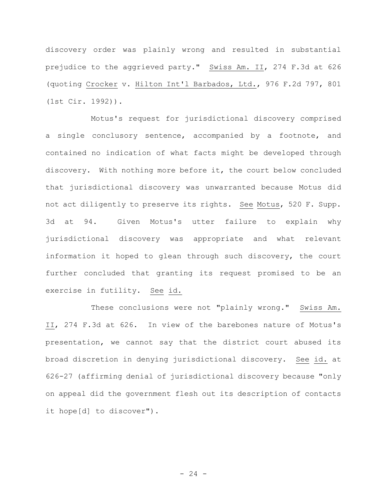discovery order was plainly wrong and resulted in substantial prejudice to the aggrieved party." Swiss Am. II, 274 F.3d at 626 (quoting Crocker v. Hilton Int'l Barbados, Ltd., 976 F.2d 797, 801 (1st Cir. 1992)).

Motus's request for jurisdictional discovery comprised a single conclusory sentence, accompanied by a footnote, and contained no indication of what facts might be developed through discovery. With nothing more before it, the court below concluded that jurisdictional discovery was unwarranted because Motus did not act diligently to preserve its rights. See Motus, 520 F. Supp. 3d at 94. Given Motus's utter failure to explain why jurisdictional discovery was appropriate and what relevant information it hoped to glean through such discovery, the court further concluded that granting its request promised to be an exercise in futility. See id.

These conclusions were not "plainly wrong." Swiss Am. II, 274 F.3d at 626. In view of the barebones nature of Motus's presentation, we cannot say that the district court abused its broad discretion in denying jurisdictional discovery. See id. at 626-27 (affirming denial of jurisdictional discovery because "only on appeal did the government flesh out its description of contacts it hope[d] to discover").

 $- 24 -$